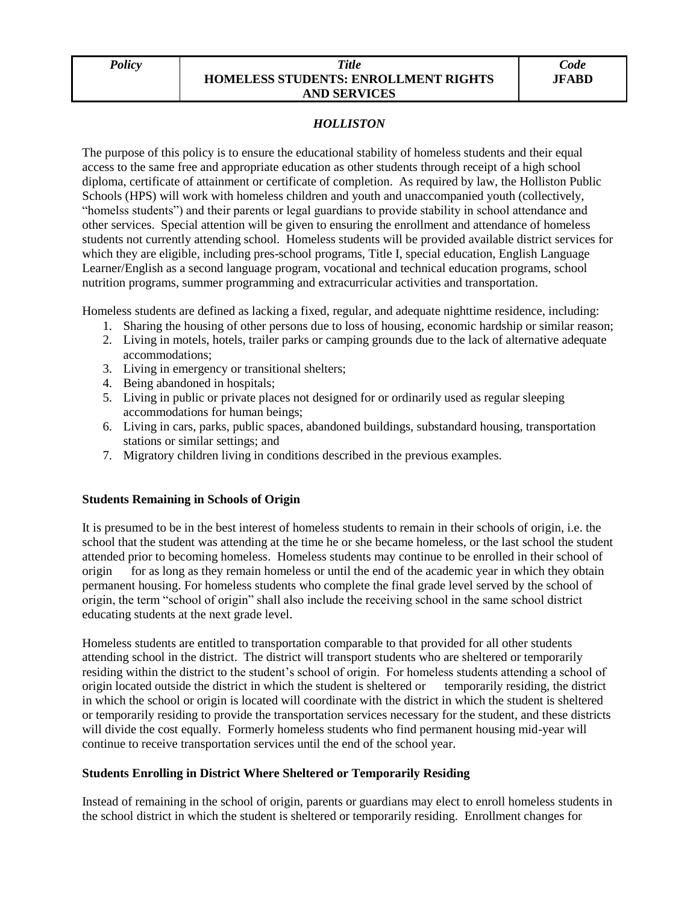#### *Policy Title* **HOMELESS STUDENTS: ENROLLMENT RIGHTS AND SERVICES**

### *HOLLISTON*

The purpose of this policy is to ensure the educational stability of homeless students and their equal access to the same free and appropriate education as other students through receipt of a high school diploma, certificate of attainment or certificate of completion. As required by law, the Holliston Public Schools (HPS) will work with homeless children and youth and unaccompanied youth (collectively, "homelss students") and their parents or legal guardians to provide stability in school attendance and other services. Special attention will be given to ensuring the enrollment and attendance of homeless students not currently attending school. Homeless students will be provided available district services for which they are eligible, including pres-school programs, Title I, special education, English Language Learner/English as a second language program, vocational and technical education programs, school nutrition programs, summer programming and extracurricular activities and transportation.

Homeless students are defined as lacking a fixed, regular, and adequate nighttime residence, including:

- 1. Sharing the housing of other persons due to loss of housing, economic hardship or similar reason;
- 2. Living in motels, hotels, trailer parks or camping grounds due to the lack of alternative adequate accommodations;
- 3. Living in emergency or transitional shelters;
- 4. Being abandoned in hospitals;
- 5. Living in public or private places not designed for or ordinarily used as regular sleeping accommodations for human beings;
- 6. Living in cars, parks, public spaces, abandoned buildings, substandard housing, transportation stations or similar settings; and
- 7. Migratory children living in conditions described in the previous examples.

# **Students Remaining in Schools of Origin**

It is presumed to be in the best interest of homeless students to remain in their schools of origin, i.e. the school that the student was attending at the time he or she became homeless, or the last school the student attended prior to becoming homeless. Homeless students may continue to be enrolled in their school of origin for as long as they remain homeless or until the end of the academic year in which they obtain permanent housing. For homeless students who complete the final grade level served by the school of origin, the term "school of origin" shall also include the receiving school in the same school district educating students at the next grade level.

Homeless students are entitled to transportation comparable to that provided for all other students attending school in the district. The district will transport students who are sheltered or temporarily residing within the district to the student's school of origin. For homeless students attending a school of origin located outside the district in which the student is sheltered or temporarily residing, the district in which the school or origin is located will coordinate with the district in which the student is sheltered or temporarily residing to provide the transportation services necessary for the student, and these districts will divide the cost equally. Formerly homeless students who find permanent housing mid-year will continue to receive transportation services until the end of the school year.

# **Students Enrolling in District Where Sheltered or Temporarily Residing**

Instead of remaining in the school of origin, parents or guardians may elect to enroll homeless students in the school district in which the student is sheltered or temporarily residing. Enrollment changes for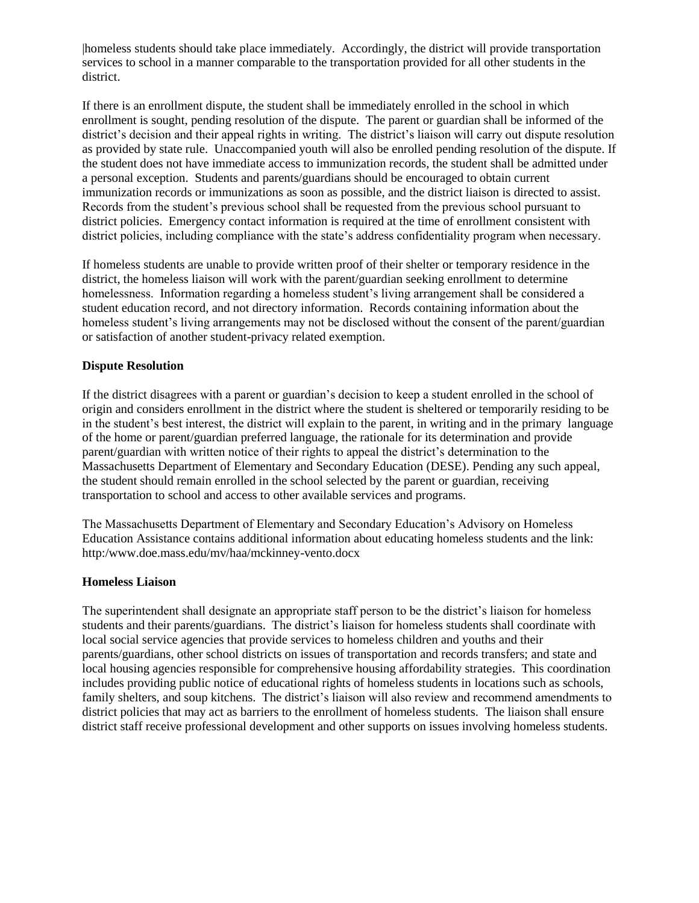|homeless students should take place immediately. Accordingly, the district will provide transportation services to school in a manner comparable to the transportation provided for all other students in the district.

If there is an enrollment dispute, the student shall be immediately enrolled in the school in which enrollment is sought, pending resolution of the dispute. The parent or guardian shall be informed of the district's decision and their appeal rights in writing. The district's liaison will carry out dispute resolution as provided by state rule. Unaccompanied youth will also be enrolled pending resolution of the dispute. If the student does not have immediate access to immunization records, the student shall be admitted under a personal exception. Students and parents/guardians should be encouraged to obtain current immunization records or immunizations as soon as possible, and the district liaison is directed to assist. Records from the student's previous school shall be requested from the previous school pursuant to district policies. Emergency contact information is required at the time of enrollment consistent with district policies, including compliance with the state's address confidentiality program when necessary.

If homeless students are unable to provide written proof of their shelter or temporary residence in the district, the homeless liaison will work with the parent/guardian seeking enrollment to determine homelessness. Information regarding a homeless student's living arrangement shall be considered a student education record, and not directory information. Records containing information about the homeless student's living arrangements may not be disclosed without the consent of the parent/guardian or satisfaction of another student-privacy related exemption.

### **Dispute Resolution**

If the district disagrees with a parent or guardian's decision to keep a student enrolled in the school of origin and considers enrollment in the district where the student is sheltered or temporarily residing to be in the student's best interest, the district will explain to the parent, in writing and in the primary language of the home or parent/guardian preferred language, the rationale for its determination and provide parent/guardian with written notice of their rights to appeal the district's determination to the Massachusetts Department of Elementary and Secondary Education (DESE). Pending any such appeal, the student should remain enrolled in the school selected by the parent or guardian, receiving transportation to school and access to other available services and programs.

The Massachusetts Department of Elementary and Secondary Education's Advisory on Homeless Education Assistance contains additional information about educating homeless students and the link: http:/www.doe.mass.edu/mv/haa/mckinney-vento.docx

#### **Homeless Liaison**

The superintendent shall designate an appropriate staff person to be the district's liaison for homeless students and their parents/guardians. The district's liaison for homeless students shall coordinate with local social service agencies that provide services to homeless children and youths and their parents/guardians, other school districts on issues of transportation and records transfers; and state and local housing agencies responsible for comprehensive housing affordability strategies. This coordination includes providing public notice of educational rights of homeless students in locations such as schools, family shelters, and soup kitchens. The district's liaison will also review and recommend amendments to district policies that may act as barriers to the enrollment of homeless students. The liaison shall ensure district staff receive professional development and other supports on issues involving homeless students.